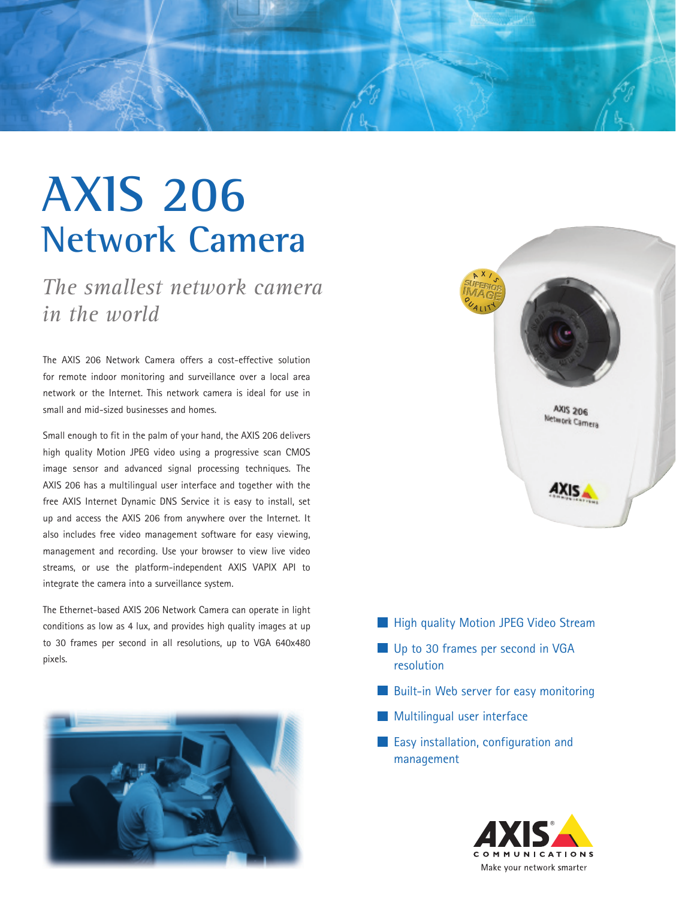

## **AXIS 206 Network Camera**

*The smallest network camera in the world*

The AXIS 206 Network Camera offers a cost-effective solution for remote indoor monitoring and surveillance over a local area network or the Internet. This network camera is ideal for use in small and mid-sized businesses and homes.

Small enough to fit in the palm of your hand, the AXIS 206 delivers high quality Motion JPEG video using a progressive scan CMOS image sensor and advanced signal processing techniques. The AXIS 206 has a multilingual user interface and together with the free AXIS Internet Dynamic DNS Service it is easy to install, set up and access the AXIS 206 from anywhere over the Internet. It also includes free video management software for easy viewing, management and recording. Use your browser to view live video streams, or use the platform-independent AXIS VAPIX API to integrate the camera into a surveillance system.

The Ethernet-based AXIS 206 Network Camera can operate in light conditions as low as 4 lux, and provides high quality images at up to 30 frames per second in all resolutions, up to VGA 640x480 pixels.





- **High quality Motion JPEG Video Stream**
- Up to 30 frames per second in VGA resolution
- **Built-in Web server for easy monitoring**
- **Multilingual user interface**
- **Easy installation, configuration and** management